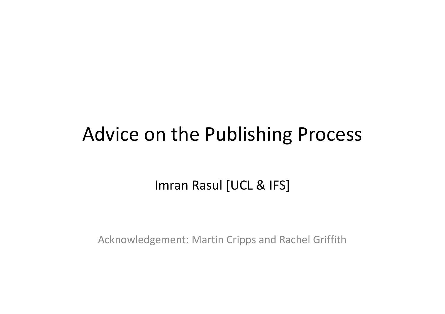#### Advice on the Publishing Process

Imran Rasul [UCL & IFS]

Acknowledgement: Martin Cripps and Rachel Griffith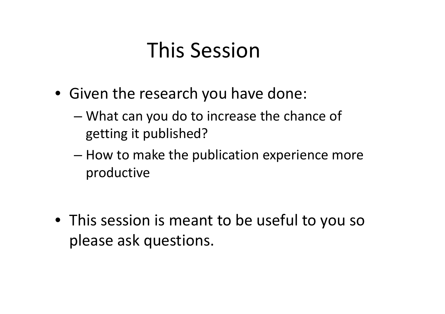### This Session

- Given the research you have done:
	- What can you do to increase the chance of getting it published?
	- How to make the publication experience more productive

• This session is meant to be useful to you so please ask questions.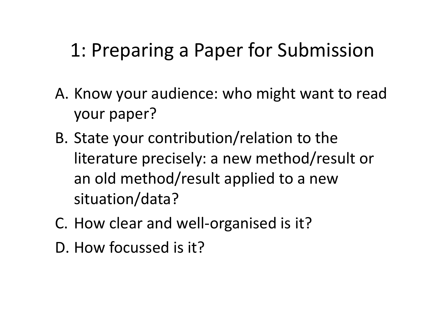#### 1: Preparing a Paper for Submission

- A. Know your audience: who might want to read your paper?
- B. State your contribution/relation to the literature precisely: a new method/result or an old method/result applied to a new situation/data?
- C. How clear and well-organised is it?
- D. How focussed is it?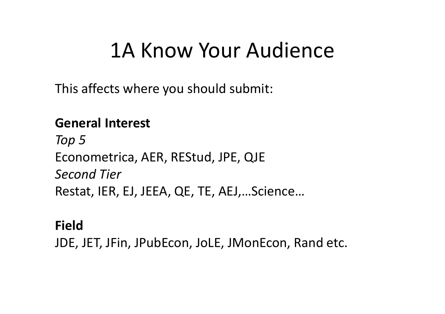### 1A Know Your Audience

This affects where you should submit:

#### **General Interest**

*Top 5* Econometrica, AER, REStud, JPE, QJE *Second Tier* Restat, IER, EJ, JEEA, QE, TE, AEJ,…Science…

#### **Field**

JDE, JET, JFin, JPubEcon, JoLE, JMonEcon, Rand etc.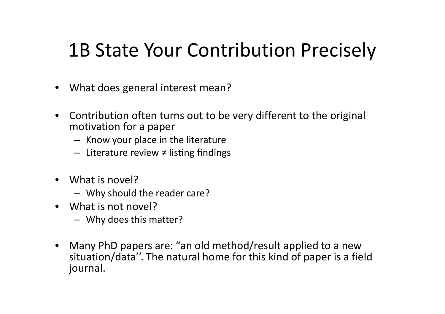#### 1B State Your Contribution Precisely

- What does general interest mean?
- Contribution often turns out to be very different to the original motivation for a paper
	- Know your place in the literature
	- Literature review  $\neq$  listing findings
- What is novel?
	- Why should the reader care?
- What is not novel?
	- Why does this matter?
- Many PhD papers are: "an old method/result applied to a new situation/data''. The natural home for this kind of paper is a field journal.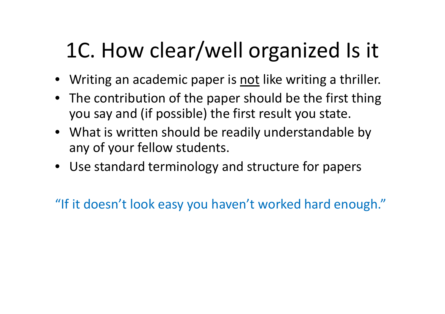# 1C. How clear/well organized Is it

- Writing an academic paper is not like writing a thriller.
- The contribution of the paper should be the first thing you say and (if possible) the first result you state.
- What is written should be readily understandable by any of your fellow students.
- Use standard terminology and structure for papers

"If it doesn't look easy you haven't worked hard enough."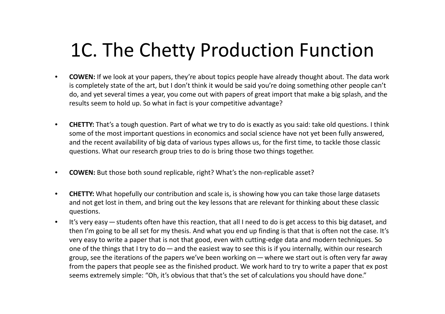#### 1C. The Chetty Production Function

- **COWEN:** If we look at your papers, they're about topics people have already thought about. The data work is completely state of the art, but I don't think it would be said you're doing something other people can't do, and yet several times a year, you come out with papers of great import that make a big splash, and the results seem to hold up. So what in fact is your competitive advantage?
- **CHETTY:** That's a tough question. Part of what we try to do is exactly as you said: take old questions. I think some of the most important questions in economics and social science have not yet been fully answered, and the recent availability of big data of various types allows us, for the first time, to tackle those classic questions. What our research group tries to do is bring those two things together.
- **COWEN:** But those both sound replicable, right? What's the non-replicable asset?
- **CHETTY:** What hopefully our contribution and scale is, is showing how you can take those large datasets and not get lost in them, and bring out the key lessons that are relevant for thinking about these classic questions.
- It's very easy—students often have this reaction, that all I need to do is get access to this big dataset, and then I'm going to be all set for my thesis. And what you end up finding is that that is often not the case. It's very easy to write a paper that is not that good, even with cutting-edge data and modern techniques. So one of the things that I try to do—and the easiest way to see this is if you internally, within our research group, see the iterations of the papers we've been working on—where we start out is often very far away from the papers that people see as the finished product. We work hard to try to write a paper that ex post seems extremely simple: "Oh, it's obvious that that's the set of calculations you should have done."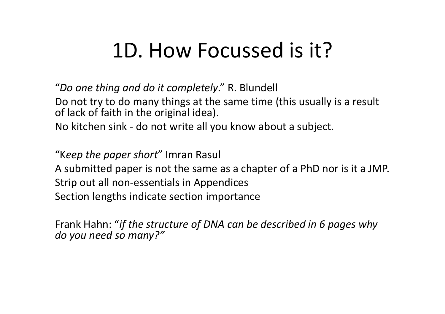### 1D. How Focussed is it?

"*Do one thing and do it completely*." R. Blundell

Do not try to do many things at the same time (this usually is a result of lack of faith in the original idea).

No kitchen sink - do not write all you know about a subject.

"K*eep the paper short*" Imran Rasul

A submitted paper is not the same as a chapter of a PhD nor is it a JMP. Strip out all non-essentials in Appendices Section lengths indicate section importance

Frank Hahn: "*if the structure of DNA can be described in 6 pages why do you need so many?"*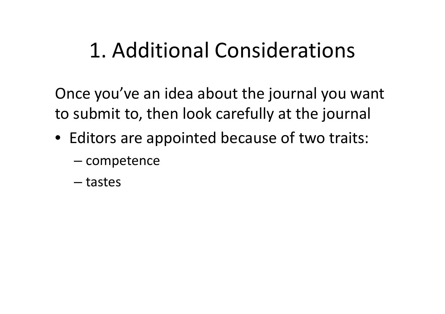# 1. Additional Considerations

Once you've an idea about the journal you want to submit to, then look carefully at the journal

- Editors are appointed because of two traits:
	- competence
	- tastes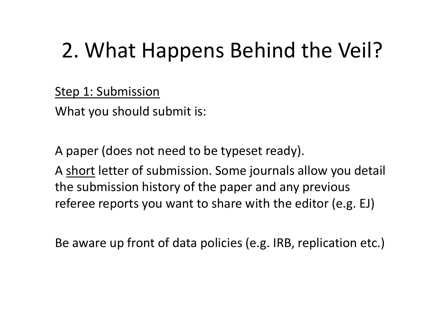Step 1: Submission

What you should submit is:

A paper (does not need to be typeset ready).

A short letter of submission. Some journals allow you detail the submission history of the paper and any previous referee reports you want to share with the editor (e.g. EJ)

Be aware up front of data policies (e.g. IRB, replication etc.)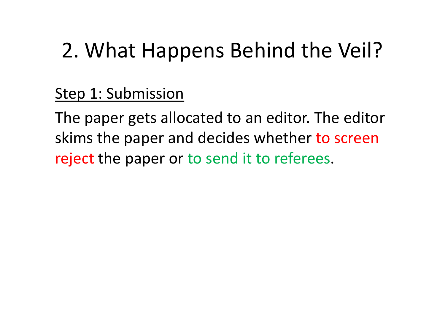Step 1: Submission

The paper gets allocated to an editor. The editor skims the paper and decides whether to screen reject the paper or to send it to referees.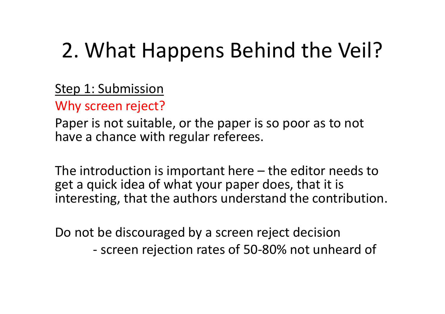Step 1: Submission

Why screen reject?

Paper is not suitable, or the paper is so poor as to not have a chance with regular referees.

The introduction is important here – the editor needs to get a quick idea of what your paper does, that it is interesting, that the authors understand the contribution.

Do not be discouraged by a screen reject decision - screen rejection rates of 50-80% not unheard of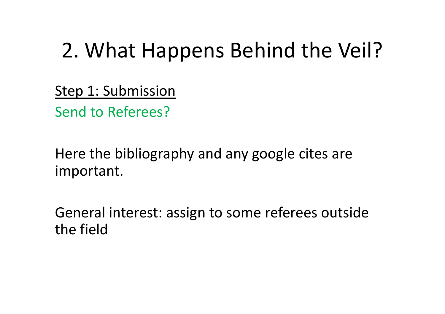Step 1: Submission Send to Referees?

Here the bibliography and any google cites are important.

General interest: assign to some referees outside the field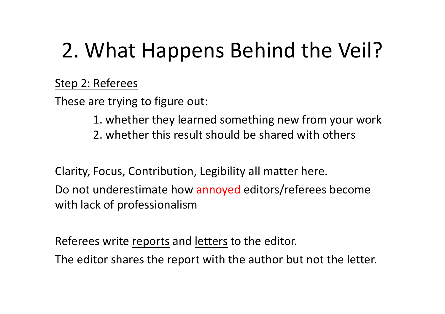#### Step 2: Referees

These are trying to figure out:

- 1. whether they learned something new from your work
- 2. whether this result should be shared with others

Clarity, Focus, Contribution, Legibility all matter here.

Do not underestimate how annoyed editors/referees become with lack of professionalism

Referees write reports and letters to the editor.

The editor shares the report with the author but not the letter.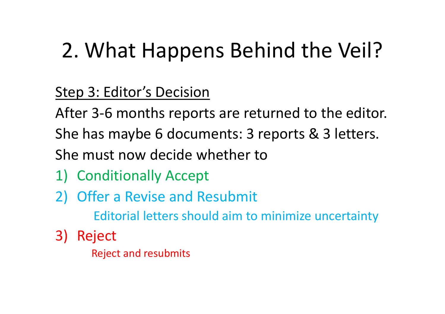Step 3: Editor's Decision

After 3-6 months reports are returned to the editor.

She has maybe 6 documents: 3 reports & 3 letters.

She must now decide whether to

- 1) Conditionally Accept
- 2) Offer a Revise and Resubmit

Editorial letters should aim to minimize uncertainty

3) Reject

Reject and resubmits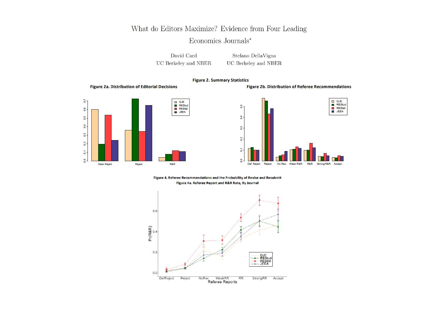#### What do Editors Maximize? Evidence from Four Leading

#### Economics Journals\*

David Card UC Berkeley and NBER

Stefano DellaVigna UC Berkeley and NBER

#### **Figure 2. Summary Statistics**

#### **Figure 2a. Distribution of Editorial Decisions**







Figure 4. Referee Recommendations and the Probability of Revise and Resubmit Figure 4a. Referee Report and R&R Rate, By Journal

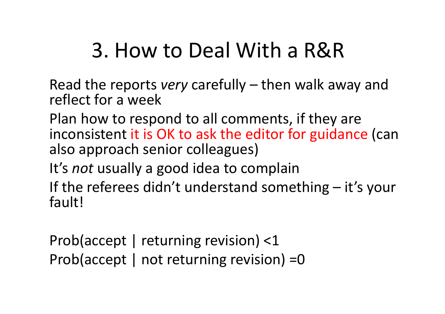### 3. How to Deal With a R&R

Read the reports *very* carefully – then walk away and reflect for a week

Plan how to respond to all comments, if they are inconsistent it is OK to ask the editor for guidance (can also approach senior colleagues)

It's *not* usually a good idea to complain

If the referees didn't understand something – it's your fault!

Prob(accept | returning revision) <1 Prob(accept | not returning revision) =0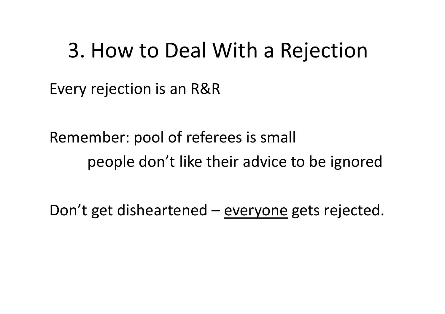#### 3. How to Deal With a Rejection

Every rejection is an R&R

Remember: pool of referees is small people don't like their advice to be ignored

Don't get disheartened – everyone gets rejected.